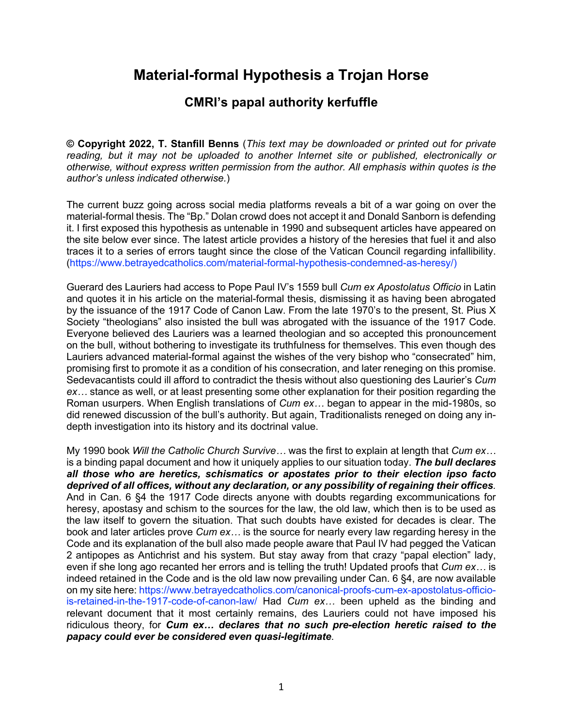# **Material-formal Hypothesis a Trojan Horse**

# **CMRI's papal authority kerfuffle**

**© Copyright 2022, T. Stanfill Benns** (*This text may be downloaded or printed out for private reading, but it may not be uploaded to another Internet site or published, electronically or otherwise, without express written permission from the author. All emphasis within quotes is the author's unless indicated otherwise.*)

The current buzz going across social media platforms reveals a bit of a war going on over the material-formal thesis. The "Bp." Dolan crowd does not accept it and Donald Sanborn is defending it. I first exposed this hypothesis as untenable in 1990 and subsequent articles have appeared on the site below ever since. The latest article provides a history of the heresies that fuel it and also traces it to a series of errors taught since the close of the Vatican Council regarding infallibility. (https://www.betrayedcatholics.com/material-formal-hypothesis-condemned-as-heresy/)

Guerard des Lauriers had access to Pope Paul IV's 1559 bull *Cum ex Apostolatus Officio* in Latin and quotes it in his article on the material-formal thesis, dismissing it as having been abrogated by the issuance of the 1917 Code of Canon Law. From the late 1970's to the present, St. Pius X Society "theologians" also insisted the bull was abrogated with the issuance of the 1917 Code. Everyone believed des Lauriers was a learned theologian and so accepted this pronouncement on the bull, without bothering to investigate its truthfulness for themselves. This even though des Lauriers advanced material-formal against the wishes of the very bishop who "consecrated" him, promising first to promote it as a condition of his consecration, and later reneging on this promise. Sedevacantists could ill afford to contradict the thesis without also questioning des Laurier's *Cum ex…* stance as well, or at least presenting some other explanation for their position regarding the Roman usurpers. When English translations of *Cum ex…* began to appear in the mid-1980s, so did renewed discussion of the bull's authority. But again, Traditionalists reneged on doing any indepth investigation into its history and its doctrinal value.

My 1990 book *Will the Catholic Church Survive…* was the first to explain at length that *Cum ex…* is a binding papal document and how it uniquely applies to our situation today. *The bull declares all those who are heretics, schismatics or apostates prior to their election ipso facto deprived of all offices, without any declaration, or any possibility of regaining their offices.* And in Can. 6 §4 the 1917 Code directs anyone with doubts regarding excommunications for heresy, apostasy and schism to the sources for the law, the old law, which then is to be used as the law itself to govern the situation. That such doubts have existed for decades is clear. The book and later articles prove *Cum ex…* is the source for nearly every law regarding heresy in the Code and its explanation of the bull also made people aware that Paul IV had pegged the Vatican 2 antipopes as Antichrist and his system. But stay away from that crazy "papal election" lady, even if she long ago recanted her errors and is telling the truth! Updated proofs that *Cum ex…* is indeed retained in the Code and is the old law now prevailing under Can. 6 §4, are now available on my site here: https://www.betrayedcatholics.com/canonical-proofs-cum-ex-apostolatus-officiois-retained-in-the-1917-code-of-canon-law/ Had *Cum ex…* been upheld as the binding and relevant document that it most certainly remains, des Lauriers could not have imposed his ridiculous theory, for *Cum ex… declares that no such pre-election heretic raised to the papacy could ever be considered even quasi-legitimate*.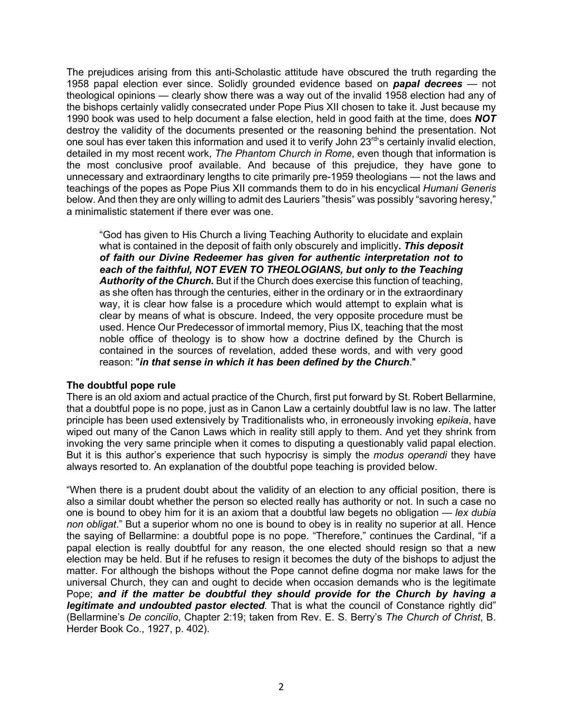The prejudices arising from this anti-Scholastic attitude have obscured the truth regarding the 1958 papal election ever since. Solidly grounded evidence based on *papal decrees* — not theological opinions — clearly show there was a way out of the invalid 1958 election had any of the bishops certainly validly consecrated under Pope Pius XII chosen to take it. Just because my 1990 book was used to help document a false election, held in good faith at the time, does *NOT* destroy the validity of the documents presented or the reasoning behind the presentation. Not one soul has ever taken this information and used it to verify John 23<sup>rd</sup>'s certainly invalid election, detailed in my most recent work, *The Phantom Church in Rome*, even though that information is the most conclusive proof available. And because of this prejudice, they have gone to unnecessary and extraordinary lengths to cite primarily pre-1959 theologians — not the laws and teachings of the popes as Pope Pius XII commands them to do in his encyclical *Humani Generis* below. And then they are only willing to admit des Lauriers "thesis" was possibly "savoring heresy," a minimalistic statement if there ever was one.

"God has given to His Church a living Teaching Authority to elucidate and explain what is contained in the deposit of faith only obscurely and implicitly**.** *This deposit of faith our Divine Redeemer has given for authentic interpretation not to*  each of the faithful, NOT EVEN TO THEOLOGIANS, but only to the Teaching *Authority of the Church.* But if the Church does exercise this function of teaching, as she often has through the centuries, either in the ordinary or in the extraordinary way, it is clear how false is a procedure which would attempt to explain what is clear by means of what is obscure. Indeed, the very opposite procedure must be used. Hence Our Predecessor of immortal memory, Pius IX, teaching that the most noble office of theology is to show how a doctrine defined by the Church is contained in the sources of revelation, added these words, and with very good reason: "*in that sense in which it has been defined by the Church*."

## **The doubtful pope rule**

There is an old axiom and actual practice of the Church, first put forward by St. Robert Bellarmine, that a doubtful pope is no pope, just as in Canon Law a certainly doubtful law is no law. The latter principle has been used extensively by Traditionalists who, in erroneously invoking *epikeia*, have wiped out many of the Canon Laws which in reality still apply to them. And yet they shrink from invoking the very same principle when it comes to disputing a questionably valid papal election. But it is this author's experience that such hypocrisy is simply the *modus operandi* they have always resorted to. An explanation of the doubtful pope teaching is provided below.

"When there is a prudent doubt about the validity of an election to any official position, there is also a similar doubt whether the person so elected really has authority or not. In such a case no one is bound to obey him for it is an axiom that a doubtful law begets no obligation — *lex dubia non obligat*." But a superior whom no one is bound to obey is in reality no superior at all. Hence the saying of Bellarmine: a doubtful pope is no pope. "Therefore," continues the Cardinal, "if a papal election is really doubtful for any reason, the one elected should resign so that a new election may be held. But if he refuses to resign it becomes the duty of the bishops to adjust the matter. For although the bishops without the Pope cannot define dogma nor make laws for the universal Church, they can and ought to decide when occasion demands who is the legitimate Pope; *and if the matter be doubtful they should provide for the Church by having a legitimate and undoubted pastor elected.* That is what the council of Constance rightly did" (Bellarmine's *De concilio*, Chapter 2:19; taken from Rev. E. S. Berry's *The Church of Christ*, B. Herder Book Co., 1927, p. 402).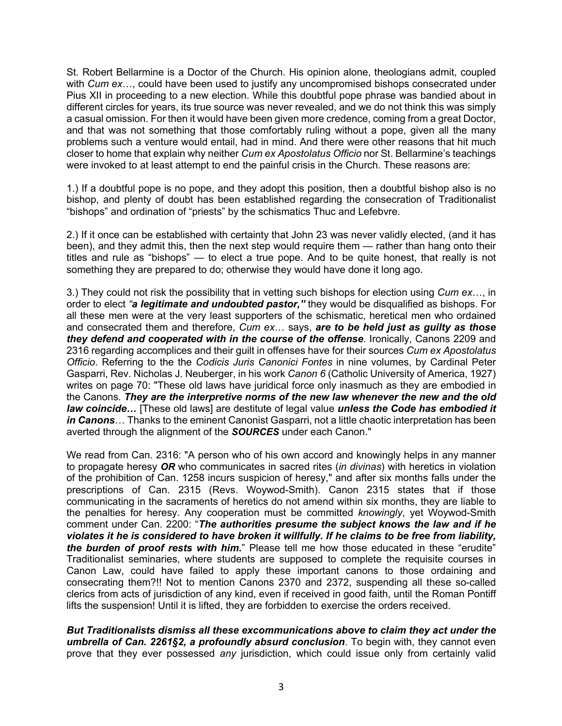St. Robert Bellarmine is a Doctor of the Church. His opinion alone, theologians admit, coupled with *Cum ex*…, could have been used to justify any uncompromised bishops consecrated under Pius XII in proceeding to a new election. While this doubtful pope phrase was bandied about in different circles for years, its true source was never revealed, and we do not think this was simply a casual omission. For then it would have been given more credence, coming from a great Doctor, and that was not something that those comfortably ruling without a pope, given all the many problems such a venture would entail, had in mind. And there were other reasons that hit much closer to home that explain why neither *Cum ex Apostolatus Officio* nor St. Bellarmine's teachings were invoked to at least attempt to end the painful crisis in the Church. These reasons are:

1.) If a doubtful pope is no pope, and they adopt this position, then a doubtful bishop also is no bishop, and plenty of doubt has been established regarding the consecration of Traditionalist "bishops" and ordination of "priests" by the schismatics Thuc and Lefebvre.

2.) If it once can be established with certainty that John 23 was never validly elected, (and it has been), and they admit this, then the next step would require them — rather than hang onto their titles and rule as "bishops" — to elect a true pope. And to be quite honest, that really is not something they are prepared to do; otherwise they would have done it long ago.

3.) They could not risk the possibility that in vetting such bishops for election using *Cum ex*…, in order to elect *"a legitimate and undoubted pastor,"* they would be disqualified as bishops. For all these men were at the very least supporters of the schismatic, heretical men who ordained and consecrated them and therefore, *Cum ex*… says, *are to be held just as guilty as those they defend and cooperated with in the course of the offense*. Ironically, Canons 2209 and 2316 regarding accomplices and their guilt in offenses have for their sources *Cum ex Apostolatus Officio*. Referring to the the *Codicis Juris Canonici Fontes* in nine volumes, by Cardinal Peter Gasparri, Rev. Nicholas J. Neuberger, in his work *Canon 6* (Catholic University of America, 1927) writes on page 70: "These old laws have juridical force only inasmuch as they are embodied in the Canons. *They are the interpretive norms of the new law whenever the new and the old law coincide…* [These old laws] are destitute of legal value *unless the Code has embodied it in Canons*… Thanks to the eminent Canonist Gasparri, not a little chaotic interpretation has been averted through the alignment of the *SOURCES* under each Canon."

We read from Can. 2316: "A person who of his own accord and knowingly helps in any manner to propagate heresy *OR* who communicates in sacred rites (*in divinas*) with heretics in violation of the prohibition of Can. 1258 incurs suspicion of heresy," and after six months falls under the prescriptions of Can. 2315 (Revs. Woywod-Smith). Canon 2315 states that if those communicating in the sacraments of heretics do not amend within six months, they are liable to the penalties for heresy. Any cooperation must be committed *knowingly*, yet Woywod-Smith comment under Can. 2200: "*The authorities presume the subject knows the law and if he violates it he is considered to have broken it willfully. If he claims to be free from liability, the burden of proof rests with him.*" Please tell me how those educated in these "erudite" Traditionalist seminaries, where students are supposed to complete the requisite courses in Canon Law, could have failed to apply these important canons to those ordaining and consecrating them?!! Not to mention Canons 2370 and 2372, suspending all these so-called clerics from acts of jurisdiction of any kind, even if received in good faith, until the Roman Pontiff lifts the suspension! Until it is lifted, they are forbidden to exercise the orders received.

*But Traditionalists dismiss all these excommunications above to claim they act under the umbrella of Can. 2261§2, a profoundly absurd conclusion*. To begin with, they cannot even prove that they ever possessed *any* jurisdiction, which could issue only from certainly valid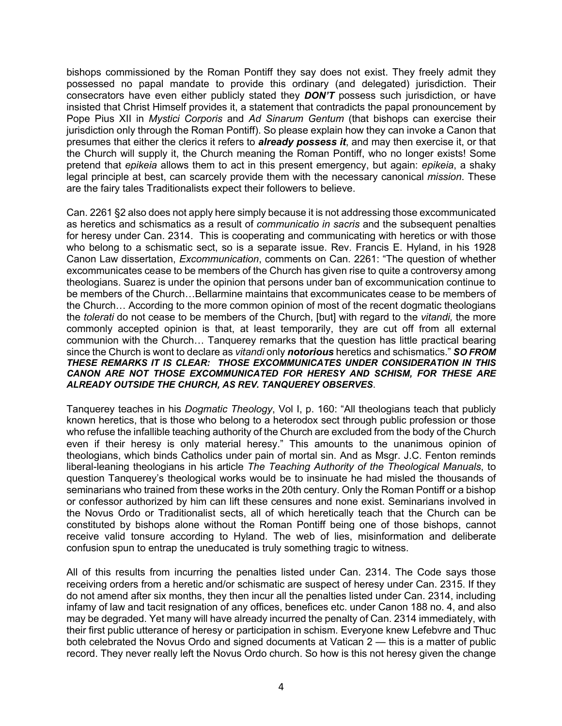bishops commissioned by the Roman Pontiff they say does not exist. They freely admit they possessed no papal mandate to provide this ordinary (and delegated) jurisdiction. Their consecrators have even either publicly stated they *DON'T* possess such jurisdiction, or have insisted that Christ Himself provides it, a statement that contradicts the papal pronouncement by Pope Pius XII in *Mystici Corporis* and *Ad Sinarum Gentum* (that bishops can exercise their jurisdiction only through the Roman Pontiff). So please explain how they can invoke a Canon that presumes that either the clerics it refers to *already possess it*, and may then exercise it, or that the Church will supply it, the Church meaning the Roman Pontiff, who no longer exists! Some pretend that *epikeia* allows them to act in this present emergency, but again: *epikeia*, a shaky legal principle at best, can scarcely provide them with the necessary canonical *mission*. These are the fairy tales Traditionalists expect their followers to believe.

Can. 2261 §2 also does not apply here simply because it is not addressing those excommunicated as heretics and schismatics as a result of *communicatio in sacris* and the subsequent penalties for heresy under Can. 2314. This is cooperating and communicating with heretics or with those who belong to a schismatic sect, so is a separate issue. Rev. Francis E. Hyland, in his 1928 Canon Law dissertation, *Excommunication*, comments on Can. 2261: "The question of whether excommunicates cease to be members of the Church has given rise to quite a controversy among theologians. Suarez is under the opinion that persons under ban of excommunication continue to be members of the Church…Bellarmine maintains that excommunicates cease to be members of the Church… According to the more common opinion of most of the recent dogmatic theologians the *tolerati* do not cease to be members of the Church, [but] with regard to the *vitandi,* the more commonly accepted opinion is that, at least temporarily, they are cut off from all external communion with the Church… Tanquerey remarks that the question has little practical bearing since the Church is wont to declare as *vitandi* only *notorious* heretics and schismatics." *SO FROM THESE REMARKS IT IS CLEAR: THOSE EXCOMMUNICATES UNDER CONSIDERATION IN THIS CANON ARE NOT THOSE EXCOMMUNICATED FOR HERESY AND SCHISM, FOR THESE ARE ALREADY OUTSIDE THE CHURCH, AS REV. TANQUEREY OBSERVES*.

Tanquerey teaches in his *Dogmatic Theology*, Vol I, p. 160: "All theologians teach that publicly known heretics, that is those who belong to a heterodox sect through public profession or those who refuse the infallible teaching authority of the Church are excluded from the body of the Church even if their heresy is only material heresy." This amounts to the unanimous opinion of theologians, which binds Catholics under pain of mortal sin. And as Msgr. J.C. Fenton reminds liberal-leaning theologians in his article *The Teaching Authority of the Theological Manuals*, to question Tanquerey's theological works would be to insinuate he had misled the thousands of seminarians who trained from these works in the 20th century. Only the Roman Pontiff or a bishop or confessor authorized by him can lift these censures and none exist. Seminarians involved in the Novus Ordo or Traditionalist sects, all of which heretically teach that the Church can be constituted by bishops alone without the Roman Pontiff being one of those bishops, cannot receive valid tonsure according to Hyland. The web of lies, misinformation and deliberate confusion spun to entrap the uneducated is truly something tragic to witness.

All of this results from incurring the penalties listed under Can. 2314. The Code says those receiving orders from a heretic and/or schismatic are suspect of heresy under Can. 2315. If they do not amend after six months, they then incur all the penalties listed under Can. 2314, including infamy of law and tacit resignation of any offices, benefices etc. under Canon 188 no. 4, and also may be degraded. Yet many will have already incurred the penalty of Can. 2314 immediately, with their first public utterance of heresy or participation in schism. Everyone knew Lefebvre and Thuc both celebrated the Novus Ordo and signed documents at Vatican 2 — this is a matter of public record. They never really left the Novus Ordo church. So how is this not heresy given the change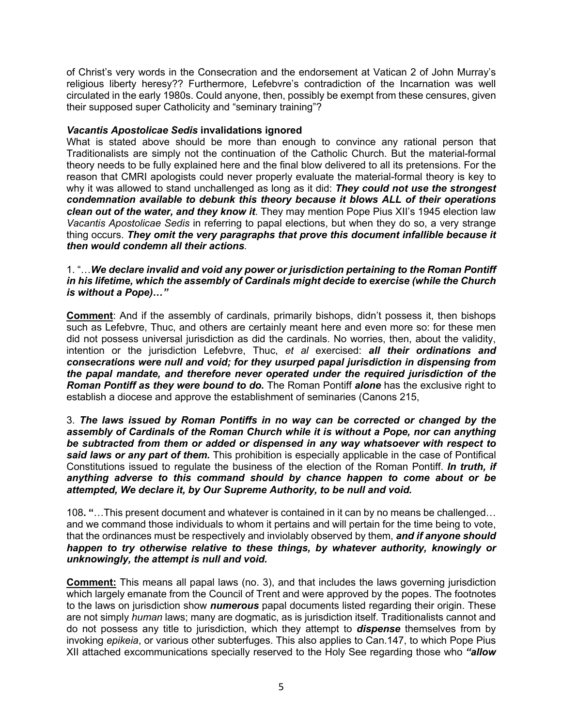of Christ's very words in the Consecration and the endorsement at Vatican 2 of John Murray's religious liberty heresy?? Furthermore, Lefebvre's contradiction of the Incarnation was well circulated in the early 1980s. Could anyone, then, possibly be exempt from these censures, given their supposed super Catholicity and "seminary training"?

# *Vacantis Apostolicae Sedis* **invalidations ignored**

What is stated above should be more than enough to convince any rational person that Traditionalists are simply not the continuation of the Catholic Church. But the material-formal theory needs to be fully explained here and the final blow delivered to all its pretensions. For the reason that CMRI apologists could never properly evaluate the material-formal theory is key to why it was allowed to stand unchallenged as long as it did: *They could not use the strongest condemnation available to debunk this theory because it blows ALL of their operations clean out of the water, and they know it*. They may mention Pope Pius XII's 1945 election law *Vacantis Apostolicae Sedis* in referring to papal elections, but when they do so, a very strange thing occurs. *They omit the very paragraphs that prove this document infallible because it then would condemn all their actions.*

1. "…*We declare invalid and void any power or jurisdiction pertaining to the Roman Pontiff in his lifetime, which the assembly of Cardinals might decide to exercise (while the Church is without a Pope)…"*

**Comment**: And if the assembly of cardinals, primarily bishops, didn't possess it, then bishops such as Lefebvre, Thuc, and others are certainly meant here and even more so: for these men did not possess universal jurisdiction as did the cardinals. No worries, then, about the validity, intention or the jurisdiction Lefebvre, Thuc, *et al* exercised: *all their ordinations and consecrations were null and void; for they usurped papal jurisdiction in dispensing from the papal mandate, and therefore never operated under the required jurisdiction of the Roman Pontiff as they were bound to do.* The Roman Pontiff *alone* has the exclusive right to establish a diocese and approve the establishment of seminaries (Canons 215,

3. *The laws issued by Roman Pontiffs in no way can be corrected or changed by the assembly of Cardinals of the Roman Church while it is without a Pope, nor can anything be subtracted from them or added or dispensed in any way whatsoever with respect to said laws or any part of them.* This prohibition is especially applicable in the case of Pontifical Constitutions issued to regulate the business of the election of the Roman Pontiff. *In truth, if anything adverse to this command should by chance happen to come about or be attempted, We declare it, by Our Supreme Authority, to be null and void.*

108**. "**…This present document and whatever is contained in it can by no means be challenged… and we command those individuals to whom it pertains and will pertain for the time being to vote, that the ordinances must be respectively and inviolably observed by them, *and if anyone should happen to try otherwise relative to these things, by whatever authority, knowingly or unknowingly, the attempt is null and void.*

**Comment:** This means all papal laws (no. 3), and that includes the laws governing jurisdiction which largely emanate from the Council of Trent and were approved by the popes. The footnotes to the laws on jurisdiction show *numerous* papal documents listed regarding their origin. These are not simply *human* laws; many are dogmatic, as is jurisdiction itself. Traditionalists cannot and do not possess any title to jurisdiction, which they attempt to *dispense* themselves from by invoking *epikeia*, or various other subterfuges. This also applies to Can.147, to which Pope Pius XII attached excommunications specially reserved to the Holy See regarding those who *"allow*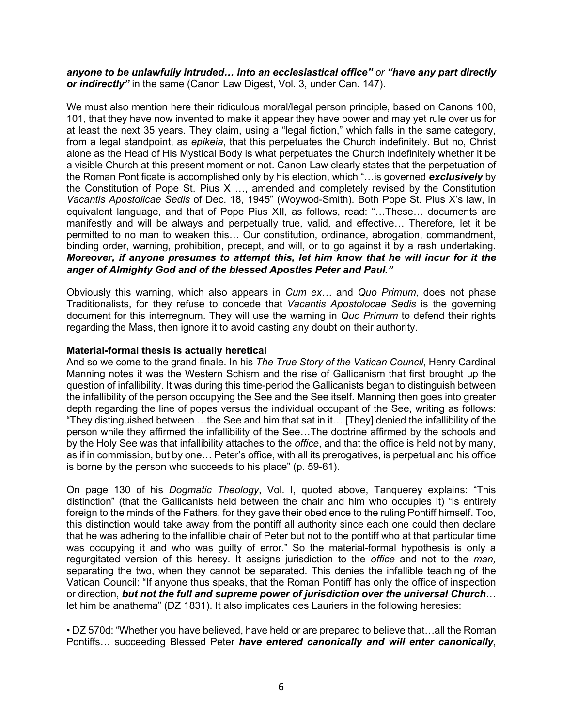# *anyone to be unlawfully intruded… into an ecclesiastical office" or "have any part directly or indirectly"* in the same (Canon Law Digest, Vol. 3, under Can. 147).

We must also mention here their ridiculous moral/legal person principle, based on Canons 100, 101, that they have now invented to make it appear they have power and may yet rule over us for at least the next 35 years. They claim, using a "legal fiction," which falls in the same category, from a legal standpoint, as *epikeia*, that this perpetuates the Church indefinitely. But no, Christ alone as the Head of His Mystical Body is what perpetuates the Church indefinitely whether it be a visible Church at this present moment or not. Canon Law clearly states that the perpetuation of the Roman Pontificate is accomplished only by his election, which "…is governed *exclusively* by the Constitution of Pope St. Pius X …, amended and completely revised by the Constitution *Vacantis Apostolicae Sedis* of Dec. 18, 1945" (Woywod-Smith). Both Pope St. Pius X's law, in equivalent language, and that of Pope Pius XII, as follows, read: "…These… documents are manifestly and will be always and perpetually true, valid, and effective… Therefore, let it be permitted to no man to weaken this… Our constitution, ordinance, abrogation, commandment, binding order, warning, prohibition, precept, and will, or to go against it by a rash undertaking. *Moreover, if anyone presumes to attempt this, let him know that he will incur for it the anger of Almighty God and of the blessed Apostles Peter and Paul."*

Obviously this warning, which also appears in *Cum ex…* and *Quo Primum,* does not phase Traditionalists, for they refuse to concede that *Vacantis Apostolocae Sedis* is the governing document for this interregnum. They will use the warning in *Quo Primum* to defend their rights regarding the Mass, then ignore it to avoid casting any doubt on their authority.

# **Material-formal thesis is actually heretical**

And so we come to the grand finale. In his *The True Story of the Vatican Council*, Henry Cardinal Manning notes it was the Western Schism and the rise of Gallicanism that first brought up the question of infallibility. It was during this time-period the Gallicanists began to distinguish between the infallibility of the person occupying the See and the See itself. Manning then goes into greater depth regarding the line of popes versus the individual occupant of the See, writing as follows: "They distinguished between …the See and him that sat in it… [They] denied the infallibility of the person while they affirmed the infallibility of the See…The doctrine affirmed by the schools and by the Holy See was that infallibility attaches to the *office*, and that the office is held not by many, as if in commission, but by one… Peter's office, with all its prerogatives, is perpetual and his office is borne by the person who succeeds to his place" (p. 59-61).

On page 130 of his *Dogmatic Theology*, Vol. I, quoted above, Tanquerey explains: "This distinction" (that the Gallicanists held between the chair and him who occupies it) "is entirely foreign to the minds of the Fathers. for they gave their obedience to the ruling Pontiff himself. Too, this distinction would take away from the pontiff all authority since each one could then declare that he was adhering to the infallible chair of Peter but not to the pontiff who at that particular time was occupying it and who was guilty of error." So the material-formal hypothesis is only a regurgitated version of this heresy. It assigns jurisdiction to the *office* and not to the *man,*  separating the two, when they cannot be separated. This denies the infallible teaching of the Vatican Council: "If anyone thus speaks, that the Roman Pontiff has only the office of inspection or direction, *but not the full and supreme power of jurisdiction over the universal Church*… let him be anathema" (DZ 1831). It also implicates des Lauriers in the following heresies:

• DZ 570d: "Whether you have believed, have held or are prepared to believe that…all the Roman Pontiffs… succeeding Blessed Peter *have entered canonically and will enter canonically*,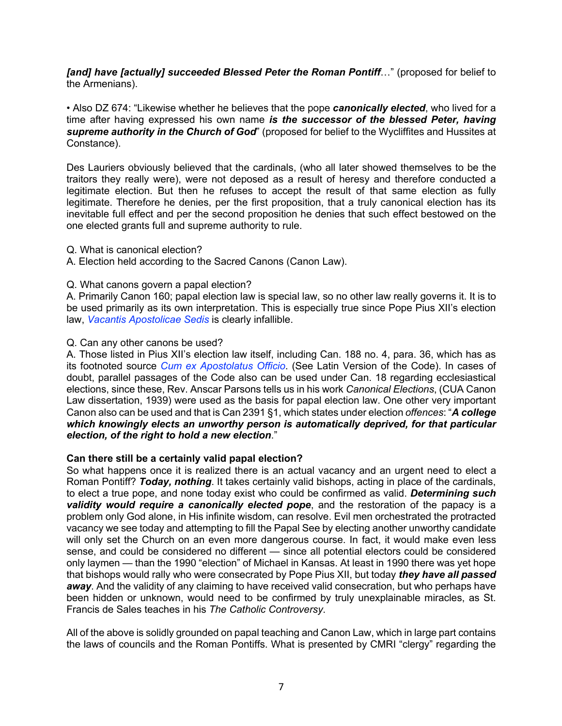*[and] have [actually] succeeded Blessed Peter the Roman Pontiff*…" (proposed for belief to the Armenians).

• Also DZ 674: "Likewise whether he believes that the pope *canonically elected*, who lived for a time after having expressed his own name *is the successor of the blessed Peter, having supreme authority in the Church of God*" (proposed for belief to the Wycliffites and Hussites at Constance).

Des Lauriers obviously believed that the cardinals, (who all later showed themselves to be the traitors they really were), were not deposed as a result of heresy and therefore conducted a legitimate election. But then he refuses to accept the result of that same election as fully legitimate. Therefore he denies, per the first proposition, that a truly canonical election has its inevitable full effect and per the second proposition he denies that such effect bestowed on the one elected grants full and supreme authority to rule.

- Q. What is canonical election?
- A. Election held according to the Sacred Canons (Canon Law).

# Q. What canons govern a papal election?

A. Primarily Canon 160; papal election law is special law, so no other law really governs it. It is to be used primarily as its own interpretation. This is especially true since Pope Pius XII's election law, *Vacantis Apostolicae Sedis* is clearly infallible.

## Q. Can any other canons be used?

A. Those listed in Pius XII's election law itself, including Can. 188 no. 4, para. 36, which has as its footnoted source *Cum ex Apostolatus Officio*. (See Latin Version of the Code). In cases of doubt, parallel passages of the Code also can be used under Can. 18 regarding ecclesiastical elections, since these, Rev. Anscar Parsons tells us in his work *Canonical Elections*, (CUA Canon Law dissertation, 1939) were used as the basis for papal election law. One other very important Canon also can be used and that is Can 2391 §1, which states under election *offences*: "*A college which knowingly elects an unworthy person is automatically deprived, for that particular election, of the right to hold a new election*."

## **Can there still be a certainly valid papal election?**

So what happens once it is realized there is an actual vacancy and an urgent need to elect a Roman Pontiff? *Today, nothing*. It takes certainly valid bishops, acting in place of the cardinals, to elect a true pope, and none today exist who could be confirmed as valid. *Determining such*  **validity would require a canonically elected pope**, and the restoration of the papacy is a problem only God alone, in His infinite wisdom, can resolve. Evil men orchestrated the protracted vacancy we see today and attempting to fill the Papal See by electing another unworthy candidate will only set the Church on an even more dangerous course. In fact, it would make even less sense, and could be considered no different — since all potential electors could be considered only laymen — than the 1990 "election" of Michael in Kansas. At least in 1990 there was yet hope that bishops would rally who were consecrated by Pope Pius XII, but today *they have all passed*  away. And the validity of any claiming to have received valid consecration, but who perhaps have been hidden or unknown, would need to be confirmed by truly unexplainable miracles, as St. Francis de Sales teaches in his *The Catholic Controversy*.

All of the above is solidly grounded on papal teaching and Canon Law, which in large part contains the laws of councils and the Roman Pontiffs. What is presented by CMRI "clergy" regarding the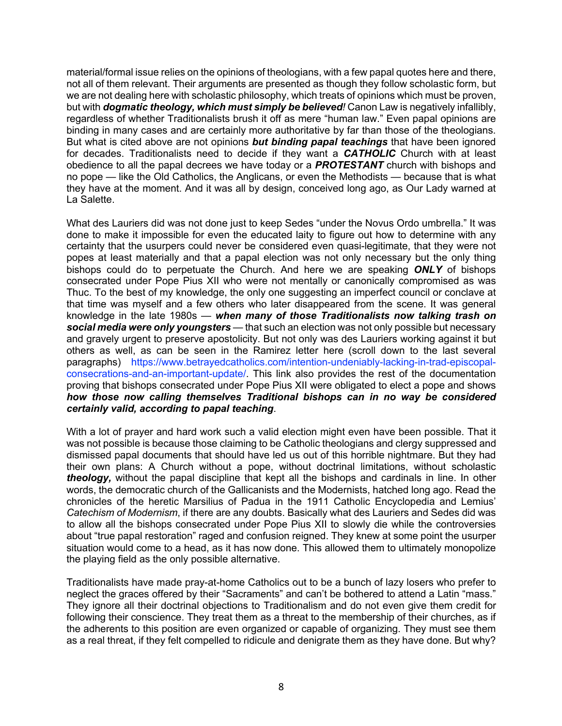material/formal issue relies on the opinions of theologians, with a few papal quotes here and there, not all of them relevant. Their arguments are presented as though they follow scholastic form, but we are not dealing here with scholastic philosophy, which treats of opinions which must be proven, but with *dogmatic theology, which must simply be believed!* Canon Law is negatively infallibly, regardless of whether Traditionalists brush it off as mere "human law." Even papal opinions are binding in many cases and are certainly more authoritative by far than those of the theologians. But what is cited above are not opinions *but binding papal teachings* that have been ignored for decades. Traditionalists need to decide if they want a *CATHOLIC* Church with at least obedience to all the papal decrees we have today or a *PROTESTANT* church with bishops and no pope — like the Old Catholics, the Anglicans, or even the Methodists — because that is what they have at the moment. And it was all by design, conceived long ago, as Our Lady warned at La Salette.

What des Lauriers did was not done just to keep Sedes "under the Novus Ordo umbrella." It was done to make it impossible for even the educated laity to figure out how to determine with any certainty that the usurpers could never be considered even quasi-legitimate, that they were not popes at least materially and that a papal election was not only necessary but the only thing bishops could do to perpetuate the Church. And here we are speaking *ONLY* of bishops consecrated under Pope Pius XII who were not mentally or canonically compromised as was Thuc. To the best of my knowledge, the only one suggesting an imperfect council or conclave at that time was myself and a few others who later disappeared from the scene. It was general knowledge in the late 1980s — *when many of those Traditionalists now talking trash on social media were only youngsters* — that such an election was not only possible but necessary and gravely urgent to preserve apostolicity. But not only was des Lauriers working against it but others as well, as can be seen in the Ramirez letter here (scroll down to the last several paragraphs) https://www.betrayedcatholics.com/intention-undeniably-lacking-in-trad-episcopalconsecrations-and-an-important-update/. This link also provides the rest of the documentation proving that bishops consecrated under Pope Pius XII were obligated to elect a pope and shows *how those now calling themselves Traditional bishops can in no way be considered certainly valid, according to papal teaching*.

With a lot of prayer and hard work such a valid election might even have been possible. That it was not possible is because those claiming to be Catholic theologians and clergy suppressed and dismissed papal documents that should have led us out of this horrible nightmare. But they had their own plans: A Church without a pope, without doctrinal limitations, without scholastic *theology,* without the papal discipline that kept all the bishops and cardinals in line. In other words, the democratic church of the Gallicanists and the Modernists, hatched long ago. Read the chronicles of the heretic Marsilius of Padua in the 1911 Catholic Encyclopedia and Lemius' *Catechism of Modernism*, if there are any doubts. Basically what des Lauriers and Sedes did was to allow all the bishops consecrated under Pope Pius XII to slowly die while the controversies about "true papal restoration" raged and confusion reigned. They knew at some point the usurper situation would come to a head, as it has now done. This allowed them to ultimately monopolize the playing field as the only possible alternative.

Traditionalists have made pray-at-home Catholics out to be a bunch of lazy losers who prefer to neglect the graces offered by their "Sacraments" and can't be bothered to attend a Latin "mass." They ignore all their doctrinal objections to Traditionalism and do not even give them credit for following their conscience. They treat them as a threat to the membership of their churches, as if the adherents to this position are even organized or capable of organizing. They must see them as a real threat, if they felt compelled to ridicule and denigrate them as they have done. But why?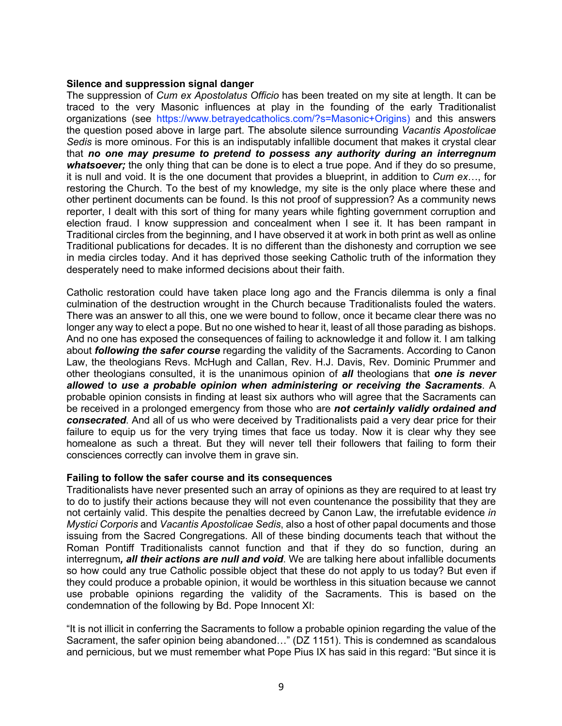#### **Silence and suppression signal danger**

The suppression of *Cum ex Apostolatus Officio* has been treated on my site at length. It can be traced to the very Masonic influences at play in the founding of the early Traditionalist organizations (see https://www.betrayedcatholics.com/?s=Masonic+Origins) and this answers the question posed above in large part. The absolute silence surrounding *Vacantis Apostolicae Sedis* is more ominous. For this is an indisputably infallible document that makes it crystal clear that *no one may presume to pretend to possess any authority during an interregnum whatsoever;* the only thing that can be done is to elect a true pope. And if they do so presume, it is null and void. It is the one document that provides a blueprint, in addition to *Cum ex*…, for restoring the Church. To the best of my knowledge, my site is the only place where these and other pertinent documents can be found. Is this not proof of suppression? As a community news reporter, I dealt with this sort of thing for many years while fighting government corruption and election fraud. I know suppression and concealment when I see it. It has been rampant in Traditional circles from the beginning, and I have observed it at work in both print as well as online Traditional publications for decades. It is no different than the dishonesty and corruption we see in media circles today. And it has deprived those seeking Catholic truth of the information they desperately need to make informed decisions about their faith.

Catholic restoration could have taken place long ago and the Francis dilemma is only a final culmination of the destruction wrought in the Church because Traditionalists fouled the waters. There was an answer to all this, one we were bound to follow, once it became clear there was no longer any way to elect a pope. But no one wished to hear it, least of all those parading as bishops. And no one has exposed the consequences of failing to acknowledge it and follow it. I am talking about *following the safer course* regarding the validity of the Sacraments. According to Canon Law, the theologians Revs. McHugh and Callan, Rev. H.J. Davis, Rev. Dominic Prummer and other theologians consulted, it is the unanimous opinion of *all* theologians that *one is never allowed* t*o use a probable opinion when administering or receiving the Sacraments*. A probable opinion consists in finding at least six authors who will agree that the Sacraments can be received in a prolonged emergency from those who are *not certainly validly ordained and consecrated*. And all of us who were deceived by Traditionalists paid a very dear price for their failure to equip us for the very trying times that face us today. Now it is clear why they see homealone as such a threat. But they will never tell their followers that failing to form their consciences correctly can involve them in grave sin.

#### **Failing to follow the safer course and its consequences**

Traditionalists have never presented such an array of opinions as they are required to at least try to do to justify their actions because they will not even countenance the possibility that they are not certainly valid. This despite the penalties decreed by Canon Law, the irrefutable evidence *in Mystici Corporis* and *Vacantis Apostolicae Sedis*, also a host of other papal documents and those issuing from the Sacred Congregations. All of these binding documents teach that without the Roman Pontiff Traditionalists cannot function and that if they do so function, during an interregnum*, all their actions are null and void*. We are talking here about infallible documents so how could any true Catholic possible object that these do not apply to us today? But even if they could produce a probable opinion, it would be worthless in this situation because we cannot use probable opinions regarding the validity of the Sacraments. This is based on the condemnation of the following by Bd. Pope Innocent XI:

"It is not illicit in conferring the Sacraments to follow a probable opinion regarding the value of the Sacrament, the safer opinion being abandoned…" (DZ 1151). This is condemned as scandalous and pernicious, but we must remember what Pope Pius IX has said in this regard: "But since it is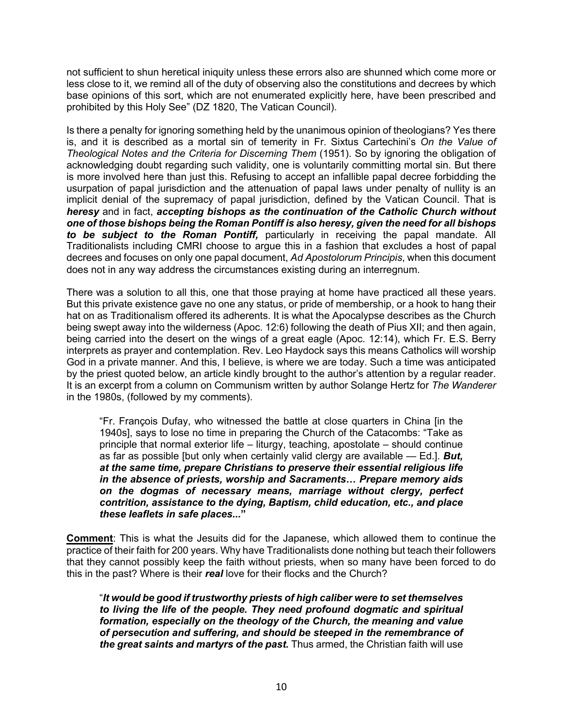not sufficient to shun heretical iniquity unless these errors also are shunned which come more or less close to it, we remind all of the duty of observing also the constitutions and decrees by which base opinions of this sort, which are not enumerated explicitly here, have been prescribed and prohibited by this Holy See" (DZ 1820, The Vatican Council).

Is there a penalty for ignoring something held by the unanimous opinion of theologians? Yes there is, and it is described as a mortal sin of temerity in Fr. Sixtus Cartechini's *On the Value of Theological Notes and the Criteria for Discerning Them* (1951). So by ignoring the obligation of acknowledging doubt regarding such validity, one is voluntarily committing mortal sin. But there is more involved here than just this. Refusing to accept an infallible papal decree forbidding the usurpation of papal jurisdiction and the attenuation of papal laws under penalty of nullity is an implicit denial of the supremacy of papal jurisdiction, defined by the Vatican Council. That is *heresy* and in fact, *accepting bishops as the continuation of the Catholic Church without one of those bishops being the Roman Pontiff is also heresy, given the need for all bishops to be subject to the Roman Pontiff,* particularly in receiving the papal mandate. All Traditionalists including CMRI choose to argue this in a fashion that excludes a host of papal decrees and focuses on only one papal document, *Ad Apostolorum Principis*, when this document does not in any way address the circumstances existing during an interregnum.

There was a solution to all this, one that those praying at home have practiced all these years. But this private existence gave no one any status, or pride of membership, or a hook to hang their hat on as Traditionalism offered its adherents. It is what the Apocalypse describes as the Church being swept away into the wilderness (Apoc. 12:6) following the death of Pius XII; and then again, being carried into the desert on the wings of a great eagle (Apoc. 12:14), which Fr. E.S. Berry interprets as prayer and contemplation. Rev. Leo Haydock says this means Catholics will worship God in a private manner. And this, I believe, is where we are today. Such a time was anticipated by the priest quoted below, an article kindly brought to the author's attention by a regular reader. It is an excerpt from a column on Communism written by author Solange Hertz for *The Wanderer* in the 1980s, (followed by my comments).

"Fr. François Dufay, who witnessed the battle at close quarters in China [in the 1940s], says to lose no time in preparing the Church of the Catacombs: "Take as principle that normal exterior life – liturgy, teaching, apostolate – should continue as far as possible [but only when certainly valid clergy are available — Ed.]. *But, at the same time, prepare Christians to preserve their essential religious life in the absence of priests, worship and Sacraments… Prepare memory aids on the dogmas of necessary means, marriage without clergy, perfect contrition, assistance to the dying, Baptism, child education, etc., and place these leaflets in safe places...***"**

**Comment**: This is what the Jesuits did for the Japanese, which allowed them to continue the practice of their faith for 200 years. Why have Traditionalists done nothing but teach their followers that they cannot possibly keep the faith without priests, when so many have been forced to do this in the past? Where is their *real* love for their flocks and the Church?

"*It would be good if trustworthy priests of high caliber were to set themselves to living the life of the people. They need profound dogmatic and spiritual formation, especially on the theology of the Church, the meaning and value of persecution and suffering, and should be steeped in the remembrance of the great saints and martyrs of the past.* Thus armed, the Christian faith will use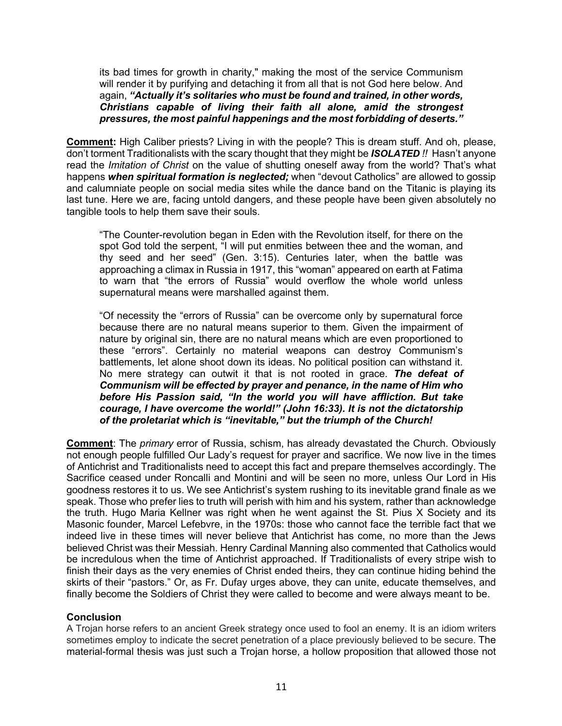its bad times for growth in charity," making the most of the service Communism will render it by purifying and detaching it from all that is not God here below. And again, *"Actually it's solitaries who must be found and trained, in other words, Christians capable of living their faith all alone, amid the strongest pressures, the most painful happenings and the most forbidding of deserts."*

**Comment:** High Caliber priests? Living in with the people? This is dream stuff. And oh, please, don't torment Traditionalists with the scary thought that they might be *ISOLATED !!* Hasn't anyone read the *Imitation of Christ* on the value of shutting oneself away from the world? That's what happens *when spiritual formation is neglected;* when "devout Catholics" are allowed to gossip and calumniate people on social media sites while the dance band on the Titanic is playing its last tune. Here we are, facing untold dangers, and these people have been given absolutely no tangible tools to help them save their souls.

"The Counter-revolution began in Eden with the Revolution itself, for there on the spot God told the serpent, "I will put enmities between thee and the woman, and thy seed and her seed" (Gen. 3:15). Centuries later, when the battle was approaching a climax in Russia in 1917, this "woman" appeared on earth at Fatima to warn that "the errors of Russia" would overflow the whole world unless supernatural means were marshalled against them.

"Of necessity the "errors of Russia" can be overcome only by supernatural force because there are no natural means superior to them. Given the impairment of nature by original sin, there are no natural means which are even proportioned to these "errors". Certainly no material weapons can destroy Communism's battlements, let alone shoot down its ideas. No political position can withstand it. No mere strategy can outwit it that is not rooted in grace. *The defeat of Communism will be effected by prayer and penance, in the name of Him who before His Passion said, "In the world you will have affliction. But take courage, I have overcome the world!" (John 16:33). It is not the dictatorship of the proletariat which is "inevitable," but the triumph of the Church!*

**Comment**: The *primary* error of Russia, schism, has already devastated the Church. Obviously not enough people fulfilled Our Lady's request for prayer and sacrifice. We now live in the times of Antichrist and Traditionalists need to accept this fact and prepare themselves accordingly. The Sacrifice ceased under Roncalli and Montini and will be seen no more, unless Our Lord in His goodness restores it to us. We see Antichrist's system rushing to its inevitable grand finale as we speak. Those who prefer lies to truth will perish with him and his system, rather than acknowledge the truth. Hugo Maria Kellner was right when he went against the St. Pius X Society and its Masonic founder, Marcel Lefebvre, in the 1970s: those who cannot face the terrible fact that we indeed live in these times will never believe that Antichrist has come, no more than the Jews believed Christ was their Messiah. Henry Cardinal Manning also commented that Catholics would be incredulous when the time of Antichrist approached. If Traditionalists of every stripe wish to finish their days as the very enemies of Christ ended theirs, they can continue hiding behind the skirts of their "pastors." Or, as Fr. Dufay urges above, they can unite, educate themselves, and finally become the Soldiers of Christ they were called to become and were always meant to be.

## **Conclusion**

A Trojan horse refers to an ancient Greek strategy once used to fool an enemy. It is an idiom writers sometimes employ to indicate the secret penetration of a place previously believed to be secure. The material-formal thesis was just such a Trojan horse, a hollow proposition that allowed those not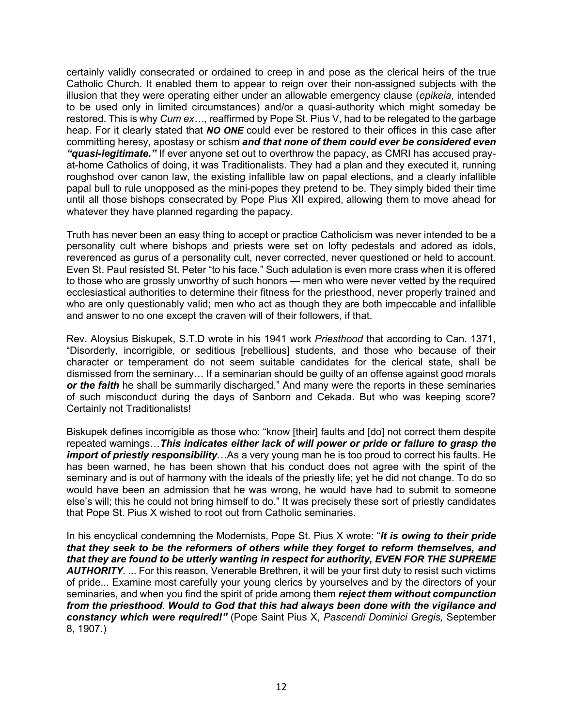certainly validly consecrated or ordained to creep in and pose as the clerical heirs of the true Catholic Church. It enabled them to appear to reign over their non-assigned subjects with the illusion that they were operating either under an allowable emergency clause (*epikeia*, intended to be used only in limited circumstances) and/or a quasi-authority which might someday be restored. This is why *Cum ex…*, reaffirmed by Pope St. Pius V, had to be relegated to the garbage heap. For it clearly stated that *NO ONE* could ever be restored to their offices in this case after committing heresy, apostasy or schism *and that none of them could ever be considered even "quasi-legitimate."* If ever anyone set out to overthrow the papacy, as CMRI has accused prayat-home Catholics of doing, it was Traditionalists. They had a plan and they executed it, running roughshod over canon law, the existing infallible law on papal elections, and a clearly infallible papal bull to rule unopposed as the mini-popes they pretend to be. They simply bided their time until all those bishops consecrated by Pope Pius XII expired, allowing them to move ahead for whatever they have planned regarding the papacy.

Truth has never been an easy thing to accept or practice Catholicism was never intended to be a personality cult where bishops and priests were set on lofty pedestals and adored as idols, reverenced as gurus of a personality cult, never corrected, never questioned or held to account. Even St. Paul resisted St. Peter "to his face." Such adulation is even more crass when it is offered to those who are grossly unworthy of such honors — men who were never vetted by the required ecclesiastical authorities to determine their fitness for the priesthood, never properly trained and who are only questionably valid; men who act as though they are both impeccable and infallible and answer to no one except the craven will of their followers, if that.

Rev. Aloysius Biskupek, S.T.D wrote in his 1941 work *Priesthood* that according to Can. 1371, "Disorderly, incorrigible, or seditious [rebellious] students, and those who because of their character or temperament do not seem suitable candidates for the clerical state, shall be dismissed from the seminary… If a seminarian should be guilty of an offense against good morals *or the faith* he shall be summarily discharged." And many were the reports in these seminaries of such misconduct during the days of Sanborn and Cekada. But who was keeping score? Certainly not Traditionalists!

Biskupek defines incorrigible as those who: "know [their] faults and [do] not correct them despite repeated warnings…*This indicates either lack of will power or pride or failure to grasp the import of priestly responsibility*…As a very young man he is too proud to correct his faults. He has been warned, he has been shown that his conduct does not agree with the spirit of the seminary and is out of harmony with the ideals of the priestly life; yet he did not change. To do so would have been an admission that he was wrong, he would have had to submit to someone else's will; this he could not bring himself to do." It was precisely these sort of priestly candidates that Pope St. Pius X wished to root out from Catholic seminaries.

In his encyclical condemning the Modernists, Pope St. Pius X wrote: "*It is owing to their pride that they seek to be the reformers of others while they forget to reform themselves, and that they are found to be utterly wanting in respect for authority, EVEN FOR THE SUPREME AUTHORITY*. ... For this reason, Venerable Brethren, it will be your first duty to resist such victims of pride... Examine most carefully your young clerics by yourselves and by the directors of your seminaries, and when you find the spirit of pride among them *reject them without compunction from the priesthood*. *Would to God that this had always been done with the vigilance and constancy which were required!"* (Pope Saint Pius X, *Pascendi Dominici Gregis,* September 8, 1907.)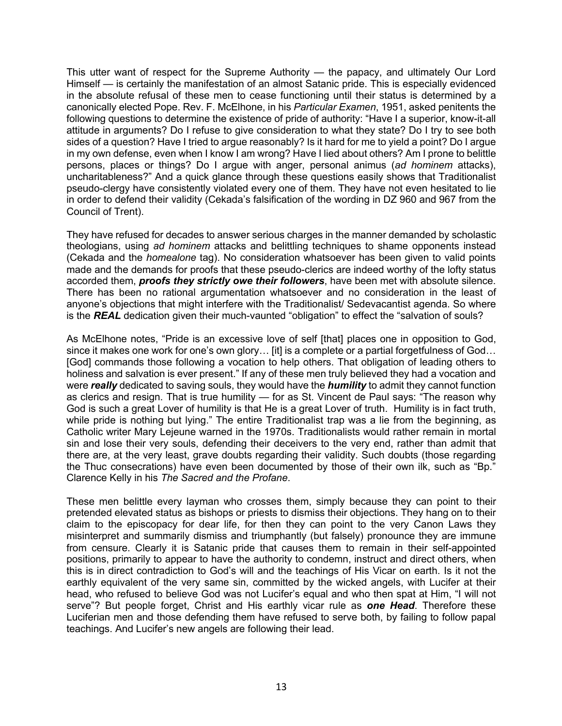This utter want of respect for the Supreme Authority — the papacy, and ultimately Our Lord Himself — is certainly the manifestation of an almost Satanic pride. This is especially evidenced in the absolute refusal of these men to cease functioning until their status is determined by a canonically elected Pope. Rev. F. McElhone, in his *Particular Examen*, 1951, asked penitents the following questions to determine the existence of pride of authority: "Have I a superior, know-it-all attitude in arguments? Do I refuse to give consideration to what they state? Do I try to see both sides of a question? Have I tried to argue reasonably? Is it hard for me to yield a point? Do I argue in my own defense, even when I know I am wrong? Have I lied about others? Am I prone to belittle persons, places or things? Do I argue with anger, personal animus (*ad hominem* attacks), uncharitableness?" And a quick glance through these questions easily shows that Traditionalist pseudo-clergy have consistently violated every one of them. They have not even hesitated to lie in order to defend their validity (Cekada's falsification of the wording in DZ 960 and 967 from the Council of Trent).

They have refused for decades to answer serious charges in the manner demanded by scholastic theologians, using *ad hominem* attacks and belittling techniques to shame opponents instead (Cekada and the *homealone* tag). No consideration whatsoever has been given to valid points made and the demands for proofs that these pseudo-clerics are indeed worthy of the lofty status accorded them, *proofs they strictly owe their followers*, have been met with absolute silence. There has been no rational argumentation whatsoever and no consideration in the least of anyone's objections that might interfere with the Traditionalist/ Sedevacantist agenda. So where is the *REAL* dedication given their much-vaunted "obligation" to effect the "salvation of souls?

As McElhone notes, "Pride is an excessive love of self [that] places one in opposition to God, since it makes one work for one's own glory... [it] is a complete or a partial forgetfulness of God... [God] commands those following a vocation to help others. That obligation of leading others to holiness and salvation is ever present." If any of these men truly believed they had a vocation and were *really* dedicated to saving souls, they would have the *humility* to admit they cannot function as clerics and resign. That is true humility — for as St. Vincent de Paul says: "The reason why God is such a great Lover of humility is that He is a great Lover of truth. Humility is in fact truth, while pride is nothing but lying." The entire Traditionalist trap was a lie from the beginning, as Catholic writer Mary Lejeune warned in the 1970s. Traditionalists would rather remain in mortal sin and lose their very souls, defending their deceivers to the very end, rather than admit that there are, at the very least, grave doubts regarding their validity. Such doubts (those regarding the Thuc consecrations) have even been documented by those of their own ilk, such as "Bp." Clarence Kelly in his *The Sacred and the Profane*.

These men belittle every layman who crosses them, simply because they can point to their pretended elevated status as bishops or priests to dismiss their objections. They hang on to their claim to the episcopacy for dear life, for then they can point to the very Canon Laws they misinterpret and summarily dismiss and triumphantly (but falsely) pronounce they are immune from censure. Clearly it is Satanic pride that causes them to remain in their self-appointed positions, primarily to appear to have the authority to condemn, instruct and direct others, when this is in direct contradiction to God's will and the teachings of His Vicar on earth. Is it not the earthly equivalent of the very same sin, committed by the wicked angels, with Lucifer at their head, who refused to believe God was not Lucifer's equal and who then spat at Him, "I will not serve"? But people forget, Christ and His earthly vicar rule as *one Head*. Therefore these Luciferian men and those defending them have refused to serve both, by failing to follow papal teachings. And Lucifer's new angels are following their lead.